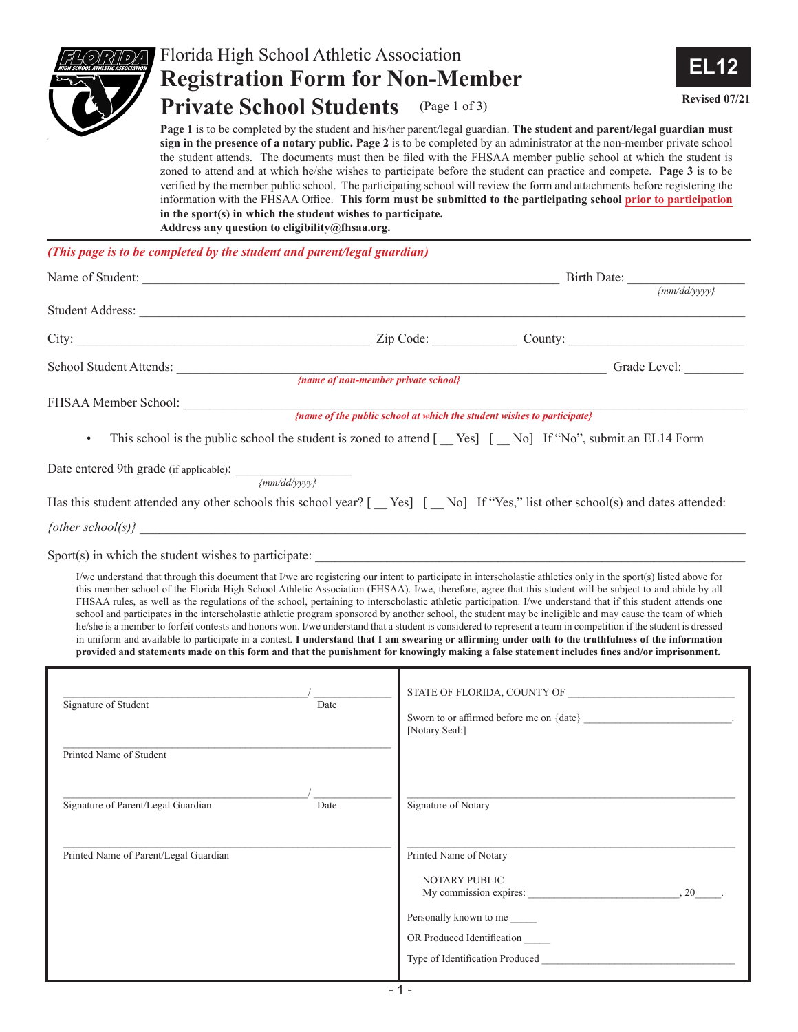

## Florida High School Athletic Association **Registration Form for Non-Member Private School Students** (Page 1 of 3) **Revised 07/21**



**Page 1** is to be completed by the student and his/her parent/legal guardian. **The student and parent/legal guardian must sign in the presence of a notary public. Page 2** is to be completed by an administrator at the non-member private school the student attends. The documents must then be filed with the FHSAA member public school at which the student is zoned to attend and at which he/she wishes to participate before the student can practice and compete. **Page 3** is to be verified by the member public school. The participating school will review the form and attachments before registering the information with the FHSAA Office. **This form must be submitted to the participating school prior to participation in the sport(s) in which the student wishes to participate. Address any question to eligibility@fhsaa.org.**

*(This page is to be completed by the student and parent/legal guardian)*

| Student Address: New York Changes and Student Address:                                                                                                                                                                                                                                                                                                                  |                                                                                                                                                                                                                                                                                                                                                                                                                                                                                                                                                                                                                                                                                                                                                                                                         |  |
|-------------------------------------------------------------------------------------------------------------------------------------------------------------------------------------------------------------------------------------------------------------------------------------------------------------------------------------------------------------------------|---------------------------------------------------------------------------------------------------------------------------------------------------------------------------------------------------------------------------------------------------------------------------------------------------------------------------------------------------------------------------------------------------------------------------------------------------------------------------------------------------------------------------------------------------------------------------------------------------------------------------------------------------------------------------------------------------------------------------------------------------------------------------------------------------------|--|
|                                                                                                                                                                                                                                                                                                                                                                         | City: City: City: Current County: County: County: County: County: County: County: County: County: County: County: County: County: County: County: County: County: County: County: County: County: County: County: County: Coun                                                                                                                                                                                                                                                                                                                                                                                                                                                                                                                                                                          |  |
| School Student Attends:                                                                                                                                                                                                                                                                                                                                                 | $\langle name \ of \ non-member \ private \ school \rangle$<br>Grade Level:                                                                                                                                                                                                                                                                                                                                                                                                                                                                                                                                                                                                                                                                                                                             |  |
|                                                                                                                                                                                                                                                                                                                                                                         |                                                                                                                                                                                                                                                                                                                                                                                                                                                                                                                                                                                                                                                                                                                                                                                                         |  |
| FHSAA Member School: {name of the public school at which the student wishes to participate}                                                                                                                                                                                                                                                                             |                                                                                                                                                                                                                                                                                                                                                                                                                                                                                                                                                                                                                                                                                                                                                                                                         |  |
| $\bullet$                                                                                                                                                                                                                                                                                                                                                               | This school is the public school the student is zoned to attend [ _ Yes] [ _ No] If "No", submit an EL14 Form                                                                                                                                                                                                                                                                                                                                                                                                                                                                                                                                                                                                                                                                                           |  |
|                                                                                                                                                                                                                                                                                                                                                                         |                                                                                                                                                                                                                                                                                                                                                                                                                                                                                                                                                                                                                                                                                                                                                                                                         |  |
| Date entered 9th grade (if applicable): $\frac{1}{\frac{1}{\frac{1}{2}}\left(\frac{1}{2} + \frac{1}{2} + \frac{1}{2} + \frac{1}{2} + \frac{1}{2} + \frac{1}{2} + \frac{1}{2} + \frac{1}{2} + \frac{1}{2} + \frac{1}{2} + \frac{1}{2} + \frac{1}{2} + \frac{1}{2} + \frac{1}{2} + \frac{1}{2} + \frac{1}{2} + \frac{1}{2} + \frac{1}{2} + \frac{1}{2} + \frac{1}{2} + \$ |                                                                                                                                                                                                                                                                                                                                                                                                                                                                                                                                                                                                                                                                                                                                                                                                         |  |
|                                                                                                                                                                                                                                                                                                                                                                         | Has this student attended any other schools this school year? [_Yes] [_No] If "Yes," list other school(s) and dates attended:                                                                                                                                                                                                                                                                                                                                                                                                                                                                                                                                                                                                                                                                           |  |
|                                                                                                                                                                                                                                                                                                                                                                         |                                                                                                                                                                                                                                                                                                                                                                                                                                                                                                                                                                                                                                                                                                                                                                                                         |  |
|                                                                                                                                                                                                                                                                                                                                                                         |                                                                                                                                                                                                                                                                                                                                                                                                                                                                                                                                                                                                                                                                                                                                                                                                         |  |
| Sport(s) in which the student wishes to participate:                                                                                                                                                                                                                                                                                                                    | I/we understand that through this document that I/we are registering our intent to participate in interscholastic athletics only in the sport(s) listed above for                                                                                                                                                                                                                                                                                                                                                                                                                                                                                                                                                                                                                                       |  |
|                                                                                                                                                                                                                                                                                                                                                                         | FHSAA rules, as well as the regulations of the school, pertaining to interscholastic athletic participation. I/we understand that if this student attends one<br>school and participates in the interscholastic athletic program sponsored by another school, the student may be ineligible and may cause the team of which<br>he/she is a member to forfeit contests and honors won. I/we understand that a student is considered to represent a team in competition if the student is dressed<br>in uniform and available to participate in a contest. I understand that I am swearing or affirming under oath to the truthfulness of the information<br>provided and statements made on this form and that the punishment for knowingly making a false statement includes fines and/or imprisonment. |  |
| Date                                                                                                                                                                                                                                                                                                                                                                    |                                                                                                                                                                                                                                                                                                                                                                                                                                                                                                                                                                                                                                                                                                                                                                                                         |  |
| Signature of Student                                                                                                                                                                                                                                                                                                                                                    | [Notary Seal:]                                                                                                                                                                                                                                                                                                                                                                                                                                                                                                                                                                                                                                                                                                                                                                                          |  |
| Printed Name of Student                                                                                                                                                                                                                                                                                                                                                 |                                                                                                                                                                                                                                                                                                                                                                                                                                                                                                                                                                                                                                                                                                                                                                                                         |  |
| Signature of Parent/Legal Guardian<br>Date                                                                                                                                                                                                                                                                                                                              | Signature of Notary                                                                                                                                                                                                                                                                                                                                                                                                                                                                                                                                                                                                                                                                                                                                                                                     |  |
| Printed Name of Parent/Legal Guardian                                                                                                                                                                                                                                                                                                                                   | Printed Name of Notary                                                                                                                                                                                                                                                                                                                                                                                                                                                                                                                                                                                                                                                                                                                                                                                  |  |
|                                                                                                                                                                                                                                                                                                                                                                         | NOTARY PUBLIC<br>My commission expires:<br>, 20                                                                                                                                                                                                                                                                                                                                                                                                                                                                                                                                                                                                                                                                                                                                                         |  |
|                                                                                                                                                                                                                                                                                                                                                                         | Personally known to me                                                                                                                                                                                                                                                                                                                                                                                                                                                                                                                                                                                                                                                                                                                                                                                  |  |
|                                                                                                                                                                                                                                                                                                                                                                         | OR Produced Identification                                                                                                                                                                                                                                                                                                                                                                                                                                                                                                                                                                                                                                                                                                                                                                              |  |
|                                                                                                                                                                                                                                                                                                                                                                         | Type of Identification Produced                                                                                                                                                                                                                                                                                                                                                                                                                                                                                                                                                                                                                                                                                                                                                                         |  |
|                                                                                                                                                                                                                                                                                                                                                                         |                                                                                                                                                                                                                                                                                                                                                                                                                                                                                                                                                                                                                                                                                                                                                                                                         |  |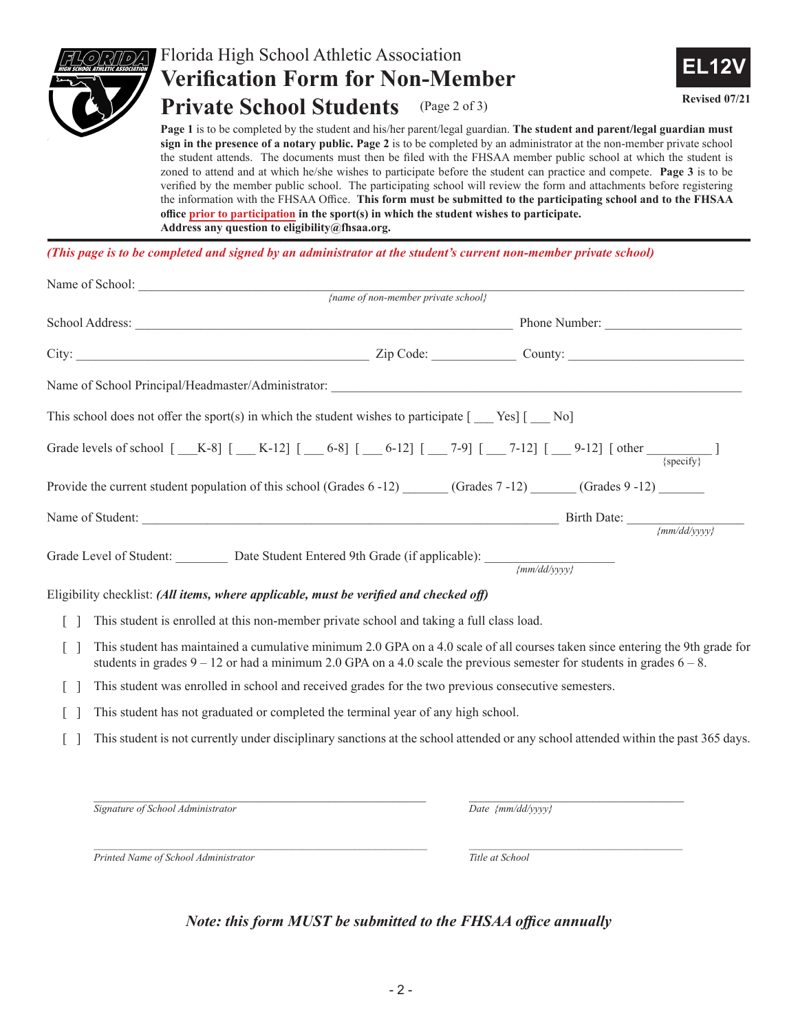

## Florida High School Athletic Association **Verification Form for Non-Member Private School Students** (Page 2 of 3)



**Page 1** is to be completed by the student and his/her parent/legal guardian. **The student and parent/legal guardian must sign in the presence of a notary public. Page 2** is to be completed by an administrator at the non-member private school the student attends. The documents must then be filed with the FHSAA member public school at which the student is zoned to attend and at which he/she wishes to participate before the student can practice and compete. **Page 3** is to be verified by the member public school. The participating school will review the form and attachments before registering the information with the FHSAA Office. **This form must be submitted to the participating school and to the FHSAA office prior to participation in the sport(s) in which the student wishes to participate. Address any question to eligibility@fhsaa.org.**

*(This page is to be completed and signed by an administrator at the student's current non-member private school)*

|                                                                                                                                                                                                                                                                                                                                                                                                                                                                                                                              | $\{name\ of\ non-member\ private\ school\}$                                              |                                |  |
|------------------------------------------------------------------------------------------------------------------------------------------------------------------------------------------------------------------------------------------------------------------------------------------------------------------------------------------------------------------------------------------------------------------------------------------------------------------------------------------------------------------------------|------------------------------------------------------------------------------------------|--------------------------------|--|
|                                                                                                                                                                                                                                                                                                                                                                                                                                                                                                                              | Phone Number:                                                                            |                                |  |
| City: City: City: Cumber 2.jp Code: County: County: County: County: County: County: County: County: County: County: County: County: County: County: County: County: County: County: County: County: County: County: County: Co                                                                                                                                                                                                                                                                                               |                                                                                          |                                |  |
|                                                                                                                                                                                                                                                                                                                                                                                                                                                                                                                              |                                                                                          |                                |  |
| This school does not offer the sport(s) in which the student wishes to participate $[$ __ Yes] $[$ __ No]                                                                                                                                                                                                                                                                                                                                                                                                                    |                                                                                          |                                |  |
| Grade levels of school $[\_K-8] [\_K-12] [\_6-8] [\_6-12] [\_7-9] [\_7-12] [\_9-12] [\_0ther \_{{\{specify\}}}]$                                                                                                                                                                                                                                                                                                                                                                                                             |                                                                                          |                                |  |
| Provide the current student population of this school (Grades $6 - 12$ ) (Grades $7 - 12$ ) (Grades $9 - 12$ )                                                                                                                                                                                                                                                                                                                                                                                                               |                                                                                          |                                |  |
| Name of Student: $\frac{Birth \text{ Date: } \frac{Birth \text{ Date: } \frac{Birth \text{ Date: } \frac{Birth \text{ Date: } \frac{Birth \text{ Date: } \frac{Birth \text{ Date: } \frac{Birth \text{ Date: } \frac{Birth \text{ Date: } \frac{Birth \text{ Date: } \frac{Birth \text{ Date: } \frac{Birth \text{Date: } \frac{Birth \text{Date: } \frac{Birth \text{Date: } \frac{Birth \text{Date: } \frac{Birth \text{Date: } \frac{Birth \text{Date: } \frac{Birth \text{Date: } \frac{Birth \text{Date: } \frac{Birth$ |                                                                                          |                                |  |
|                                                                                                                                                                                                                                                                                                                                                                                                                                                                                                                              |                                                                                          |                                |  |
| Grade Level of Student: _________ Date Student Entered 9th Grade (if applicable): _________________                                                                                                                                                                                                                                                                                                                                                                                                                          |                                                                                          | $\{mm/dd/\gamma\gamma\gamma\}$ |  |
| Eligibility checklist: (All items, where applicable, must be verified and checked off)                                                                                                                                                                                                                                                                                                                                                                                                                                       |                                                                                          |                                |  |
| $\lceil \rceil$                                                                                                                                                                                                                                                                                                                                                                                                                                                                                                              | This student is enrolled at this non-member private school and taking a full class load. |                                |  |
| $\begin{bmatrix} 1 \\ 1 \end{bmatrix}$ . This student has maintained a cumulative minimum 2.0 GDA on a 4.0 scale of all courses taken since entering the 0th grade for                                                                                                                                                                                                                                                                                                                                                       |                                                                                          |                                |  |

- [ ] This student has maintained a cumulative minimum 2.0 GPA on a 4.0 scale of all courses taken since entering the 9th grade for students in grades  $9 - 12$  or had a minimum 2.0 GPA on a 4.0 scale the previous semester for students in grades  $6 - 8$ .
- [ ] This student was enrolled in school and received grades for the two previous consecutive semesters.
- [ ] This student has not graduated or completed the terminal year of any high school.
- [ ] This student is not currently under disciplinary sanctions at the school attended or any school attended within the past 365 days.

 $\mathcal{L}_\mathcal{L} = \{ \mathcal{L}_\mathcal{L} = \{ \mathcal{L}_\mathcal{L} = \{ \mathcal{L}_\mathcal{L} = \{ \mathcal{L}_\mathcal{L} = \{ \mathcal{L}_\mathcal{L} = \{ \mathcal{L}_\mathcal{L} = \{ \mathcal{L}_\mathcal{L} = \{ \mathcal{L}_\mathcal{L} = \{ \mathcal{L}_\mathcal{L} = \{ \mathcal{L}_\mathcal{L} = \{ \mathcal{L}_\mathcal{L} = \{ \mathcal{L}_\mathcal{L} = \{ \mathcal{L}_\mathcal{L} = \{ \mathcal{L}_\mathcal{$ *Signature of School Administrator Date {mm/dd/yyyy}*

*Printed Name of School Administrator Title at School*

# *Note: this form MUST be submitted to the FHSAA office annually*